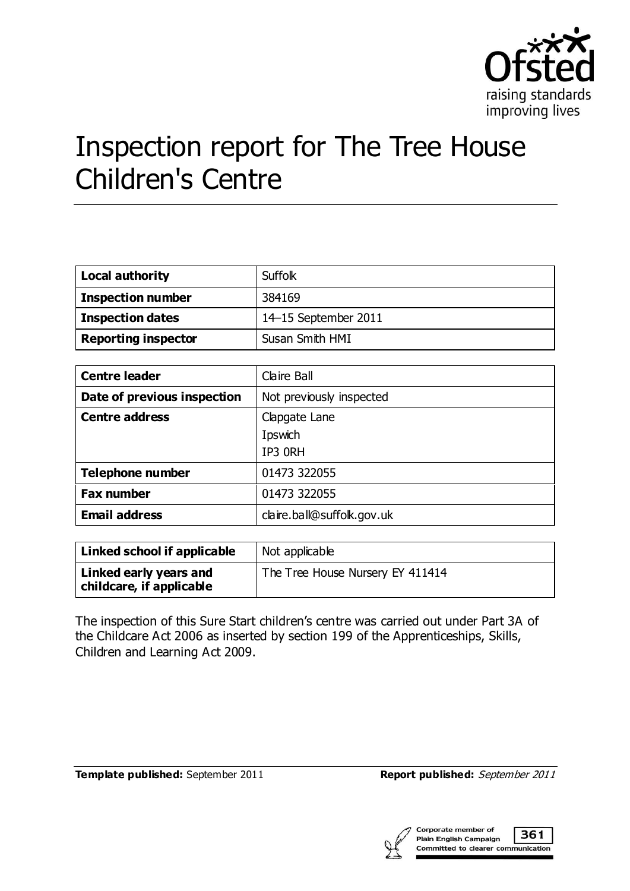

# Inspection report for The Tree House Children's Centre

| <b>Local authority</b>     | Suffolk              |
|----------------------------|----------------------|
| <b>Inspection number</b>   | 384169               |
| <b>Inspection dates</b>    | 14-15 September 2011 |
| <b>Reporting inspector</b> | Susan Smith HMI      |

| <b>Centre leader</b>        | Claire Ball                |
|-----------------------------|----------------------------|
| Date of previous inspection | Not previously inspected   |
| <b>Centre address</b>       | Clapgate Lane              |
|                             | Ipswich                    |
|                             | IP3 ORH                    |
| <b>Telephone number</b>     | 01473 322055               |
| <b>Fax number</b>           | 01473 322055               |
| <b>Email address</b>        | claire.ball@suffolk.gov.uk |

| Linked school if applicable                        | Not applicable                   |
|----------------------------------------------------|----------------------------------|
| Linked early years and<br>childcare, if applicable | The Tree House Nursery EY 411414 |

The inspection of this Sure Start children's centre was carried out under Part 3A of the Childcare Act 2006 as inserted by section 199 of the Apprenticeships, Skills, Children and Learning Act 2009.

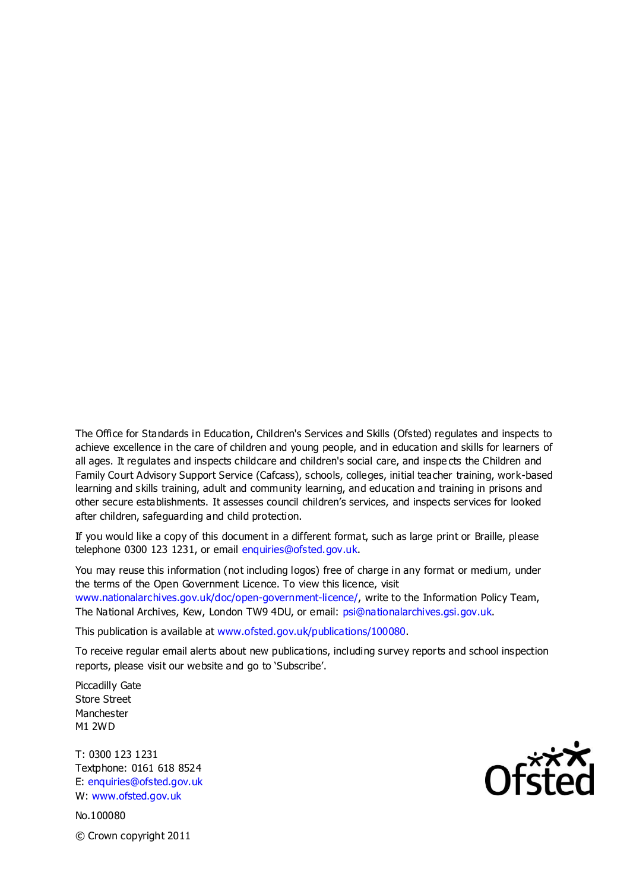The Office for Standards in Education, Children's Services and Skills (Ofsted) regulates and inspects to achieve excellence in the care of children and young people, and in education and skills for learners of all ages. It regulates and inspects childcare and children's social care, and inspe cts the Children and Family Court Advisory Support Service (Cafcass), schools, colleges, initial teacher training, work-based learning and skills training, adult and community learning, and education and training in prisons and other secure establishments. It assesses council children's services, and inspects services for looked after children, safeguarding and child protection.

If you would like a copy of this document in a different format, such as large print or Braille, please telephone 0300 123 1231, or email enquiries@ofsted.gov.uk.

You may reuse this information (not including logos) free of charge in any format or medium, under the terms of the Open Government Licence. To view this licence, visit www.nationalarchives.gov.uk/doc/open-government-licence/, write to the Information Policy Team, The National Archives, Kew, London TW9 4DU, or email: psi@nationalarchives.gsi.gov.uk.

This publication is available at www.ofsted.gov.uk/publications/100080.

To receive regular email alerts about new publications, including survey reports and school inspection reports, please visit our website and go to 'Subscribe'.

Piccadilly Gate Store Street Manchester M1 2WD

T: 0300 123 1231 Textphone: 0161 618 8524 E: enquiries@ofsted.gov.uk W: www.ofsted.gov.uk

No.100080 © Crown copyright 2011

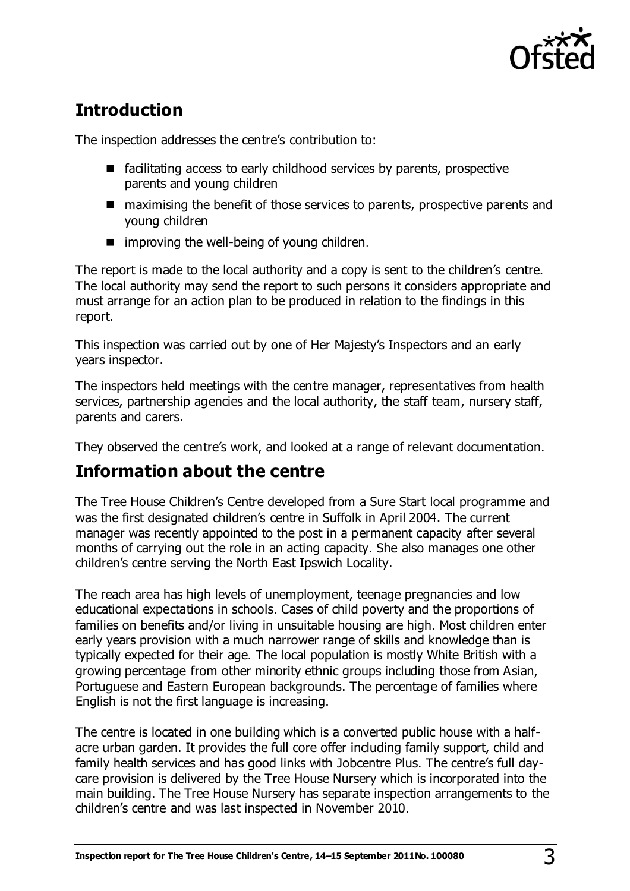

# **Introduction**

The inspection addresses the centre's contribution to:

- $\blacksquare$  facilitating access to early childhood services by parents, prospective parents and young children
- maximising the benefit of those services to parents, prospective parents and young children
- $\blacksquare$  improving the well-being of young children.

The report is made to the local authority and a copy is sent to the children's centre. The local authority may send the report to such persons it considers appropriate and must arrange for an action plan to be produced in relation to the findings in this report.

This inspection was carried out by one of Her Majesty's Inspectors and an early years inspector.

The inspectors held meetings with the centre manager, representatives from health services, partnership agencies and the local authority, the staff team, nursery staff, parents and carers.

They observed the centre's work, and looked at a range of relevant documentation.

# **Information about the centre**

The Tree House Children's Centre developed from a Sure Start local programme and was the first designated children's centre in Suffolk in April 2004. The current manager was recently appointed to the post in a permanent capacity after several months of carrying out the role in an acting capacity. She also manages one other children's centre serving the North East Ipswich Locality.

The reach area has high levels of unemployment, teenage pregnancies and low educational expectations in schools. Cases of child poverty and the proportions of families on benefits and/or living in unsuitable housing are high. Most children enter early years provision with a much narrower range of skills and knowledge than is typically expected for their age. The local population is mostly White British with a growing percentage from other minority ethnic groups including those from Asian, Portuguese and Eastern European backgrounds. The percentage of families where English is not the first language is increasing.

The centre is located in one building which is a converted public house with a halfacre urban garden. It provides the full core offer including family support, child and family health services and has good links with Jobcentre Plus. The centre's full daycare provision is delivered by the Tree House Nursery which is incorporated into the main building. The Tree House Nursery has separate inspection arrangements to the children's centre and was last inspected in November 2010.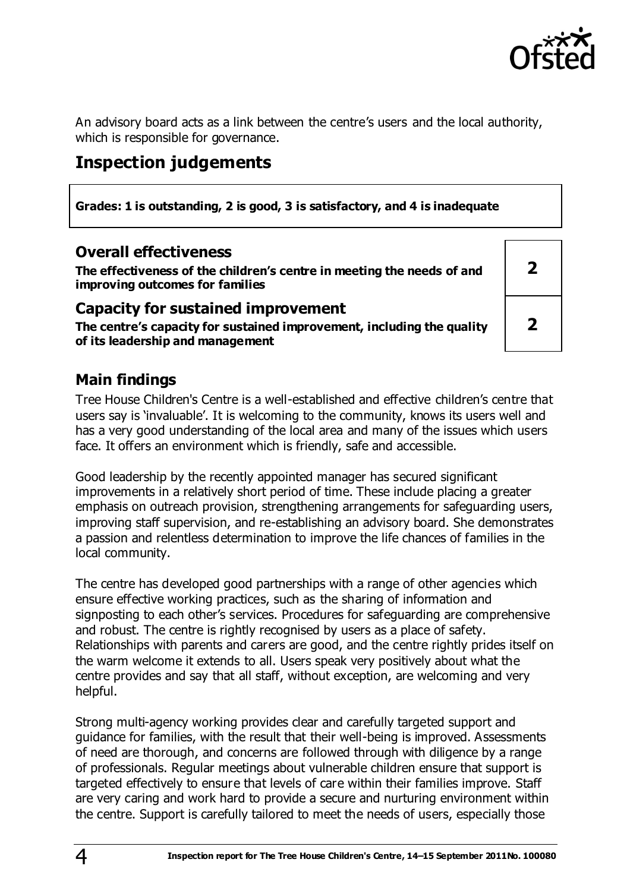

An advisory board acts as a link between the centre's users and the local authority, which is responsible for governance.

# **Inspection judgements**

**Grades: 1 is outstanding, 2 is good, 3 is satisfactory, and 4 is inadequate**

#### **Overall effectiveness**

**The effectiveness of the children's centre in meeting the needs of and improving outcomes for families**

#### **Capacity for sustained improvement**

**The centre's capacity for sustained improvement, including the quality of its leadership and management**

**2 2**

## **Main findings**

Tree House Children's Centre is a well-established and effective children's centre that users say is 'invaluable'. It is welcoming to the community, knows its users well and has a very good understanding of the local area and many of the issues which users face. It offers an environment which is friendly, safe and accessible.

Good leadership by the recently appointed manager has secured significant improvements in a relatively short period of time. These include placing a greater emphasis on outreach provision, strengthening arrangements for safeguarding users, improving staff supervision, and re-establishing an advisory board. She demonstrates a passion and relentless determination to improve the life chances of families in the local community.

The centre has developed good partnerships with a range of other agencies which ensure effective working practices, such as the sharing of information and signposting to each other's services. Procedures for safeguarding are comprehensive and robust. The centre is rightly recognised by users as a place of safety. Relationships with parents and carers are good, and the centre rightly prides itself on the warm welcome it extends to all. Users speak very positively about what the centre provides and say that all staff, without exception, are welcoming and very helpful.

Strong multi-agency working provides clear and carefully targeted support and guidance for families, with the result that their well-being is improved. Assessments of need are thorough, and concerns are followed through with diligence by a range of professionals. Regular meetings about vulnerable children ensure that support is targeted effectively to ensure that levels of care within their families improve. Staff are very caring and work hard to provide a secure and nurturing environment within the centre. Support is carefully tailored to meet the needs of users, especially those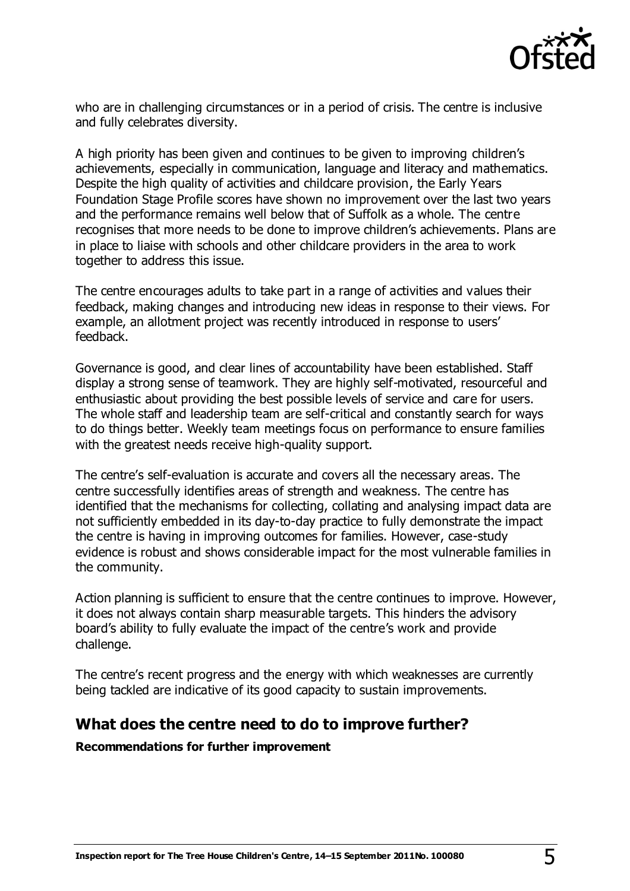

who are in challenging circumstances or in a period of crisis. The centre is inclusive and fully celebrates diversity.

A high priority has been given and continues to be given to improving children's achievements, especially in communication, language and literacy and mathematics. Despite the high quality of activities and childcare provision, the Early Years Foundation Stage Profile scores have shown no improvement over the last two years and the performance remains well below that of Suffolk as a whole. The centre recognises that more needs to be done to improve children's achievements. Plans are in place to liaise with schools and other childcare providers in the area to work together to address this issue.

The centre encourages adults to take part in a range of activities and values their feedback, making changes and introducing new ideas in response to their views. For example, an allotment project was recently introduced in response to users' feedback.

Governance is good, and clear lines of accountability have been established. Staff display a strong sense of teamwork. They are highly self-motivated, resourceful and enthusiastic about providing the best possible levels of service and care for users. The whole staff and leadership team are self-critical and constantly search for ways to do things better. Weekly team meetings focus on performance to ensure families with the greatest needs receive high-quality support.

The centre's self-evaluation is accurate and covers all the necessary areas. The centre successfully identifies areas of strength and weakness. The centre has identified that the mechanisms for collecting, collating and analysing impact data are not sufficiently embedded in its day-to-day practice to fully demonstrate the impact the centre is having in improving outcomes for families. However, case-study evidence is robust and shows considerable impact for the most vulnerable families in the community.

Action planning is sufficient to ensure that the centre continues to improve. However, it does not always contain sharp measurable targets. This hinders the advisory board's ability to fully evaluate the impact of the centre's work and provide challenge.

The centre's recent progress and the energy with which weaknesses are currently being tackled are indicative of its good capacity to sustain improvements.

#### **What does the centre need to do to improve further?**

**Recommendations for further improvement**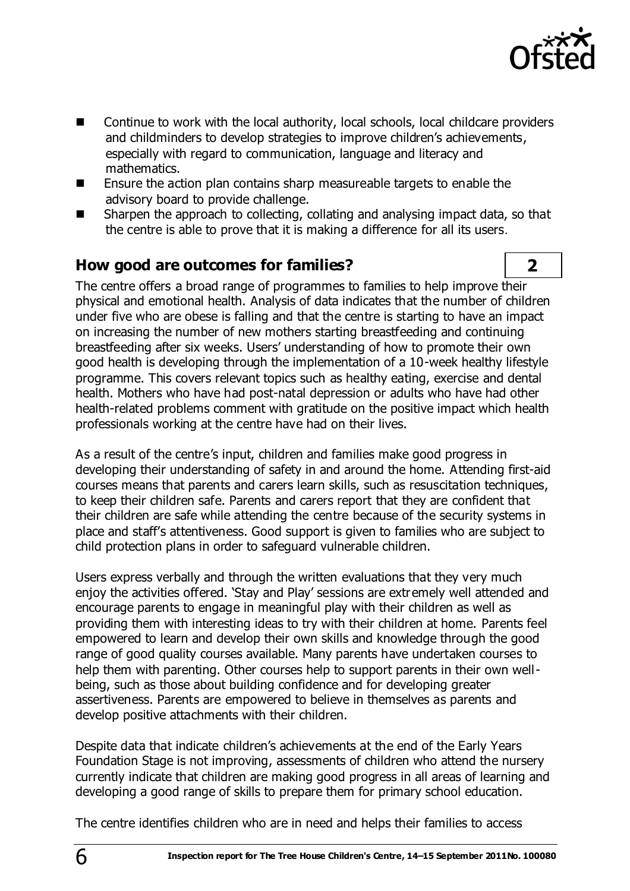

- Continue to work with the local authority, local schools, local childcare providers and childminders to develop strategies to improve children's achievements, especially with regard to communication, language and literacy and mathematics.
- Ensure the action plan contains sharp measureable targets to enable the advisory board to provide challenge.
- Sharpen the approach to collecting, collating and analysing impact data, so that the centre is able to prove that it is making a difference for all its users.

## **How good are outcomes for families? 2**

The centre offers a broad range of programmes to families to help improve their physical and emotional health. Analysis of data indicates that the number of children under five who are obese is falling and that the centre is starting to have an impact on increasing the number of new mothers starting breastfeeding and continuing breastfeeding after six weeks. Users' understanding of how to promote their own good health is developing through the implementation of a 10-week healthy lifestyle programme. This covers relevant topics such as healthy eating, exercise and dental health. Mothers who have had post-natal depression or adults who have had other health-related problems comment with gratitude on the positive impact which health professionals working at the centre have had on their lives.

As a result of the centre's input, children and families make good progress in developing their understanding of safety in and around the home. Attending first-aid courses means that parents and carers learn skills, such as resuscitation techniques, to keep their children safe. Parents and carers report that they are confident that their children are safe while attending the centre because of the security systems in place and staff's attentiveness. Good support is given to families who are subject to child protection plans in order to safeguard vulnerable children.

Users express verbally and through the written evaluations that they very much enjoy the activities offered. 'Stay and Play' sessions are extremely well attended and encourage parents to engage in meaningful play with their children as well as providing them with interesting ideas to try with their children at home. Parents feel empowered to learn and develop their own skills and knowledge through the good range of good quality courses available. Many parents have undertaken courses to help them with parenting. Other courses help to support parents in their own wellbeing, such as those about building confidence and for developing greater assertiveness. Parents are empowered to believe in themselves as parents and develop positive attachments with their children.

Despite data that indicate children's achievements at the end of the Early Years Foundation Stage is not improving, assessments of children who attend the nursery currently indicate that children are making good progress in all areas of learning and developing a good range of skills to prepare them for primary school education.

The centre identifies children who are in need and helps their families to access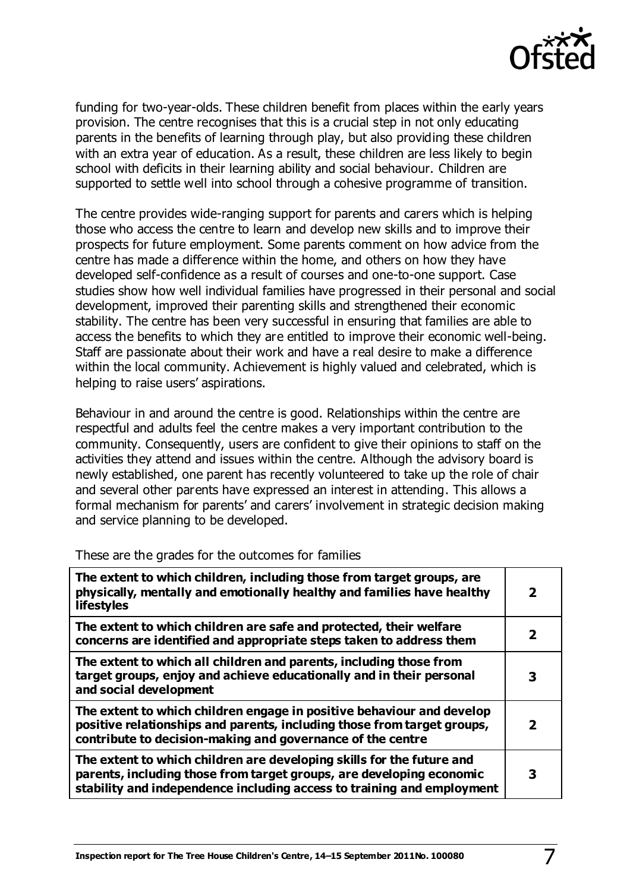

funding for two-year-olds. These children benefit from places within the early years provision. The centre recognises that this is a crucial step in not only educating parents in the benefits of learning through play, but also providing these children with an extra year of education. As a result, these children are less likely to begin school with deficits in their learning ability and social behaviour. Children are supported to settle well into school through a cohesive programme of transition.

The centre provides wide-ranging support for parents and carers which is helping those who access the centre to learn and develop new skills and to improve their prospects for future employment. Some parents comment on how advice from the centre has made a difference within the home, and others on how they have developed self-confidence as a result of courses and one-to-one support. Case studies show how well individual families have progressed in their personal and social development, improved their parenting skills and strengthened their economic stability. The centre has been very successful in ensuring that families are able to access the benefits to which they are entitled to improve their economic well-being. Staff are passionate about their work and have a real desire to make a difference within the local community. Achievement is highly valued and celebrated, which is helping to raise users' aspirations.

Behaviour in and around the centre is good. Relationships within the centre are respectful and adults feel the centre makes a very important contribution to the community. Consequently, users are confident to give their opinions to staff on the activities they attend and issues within the centre. Although the advisory board is newly established, one parent has recently volunteered to take up the role of chair and several other parents have expressed an interest in attending. This allows a formal mechanism for parents' and carers' involvement in strategic decision making and service planning to be developed.

| The extent to which children, including those from target groups, are<br>physically, mentally and emotionally healthy and families have healthy<br><b>lifestyles</b>                                                    | $\mathbf{2}$ |
|-------------------------------------------------------------------------------------------------------------------------------------------------------------------------------------------------------------------------|--------------|
| The extent to which children are safe and protected, their welfare<br>concerns are identified and appropriate steps taken to address them                                                                               | 2            |
| The extent to which all children and parents, including those from<br>target groups, enjoy and achieve educationally and in their personal<br>and social development                                                    | 3            |
| The extent to which children engage in positive behaviour and develop<br>positive relationships and parents, including those from target groups,<br>contribute to decision-making and governance of the centre          | 2            |
| The extent to which children are developing skills for the future and<br>parents, including those from target groups, are developing economic<br>stability and independence including access to training and employment | 3            |

These are the grades for the outcomes for families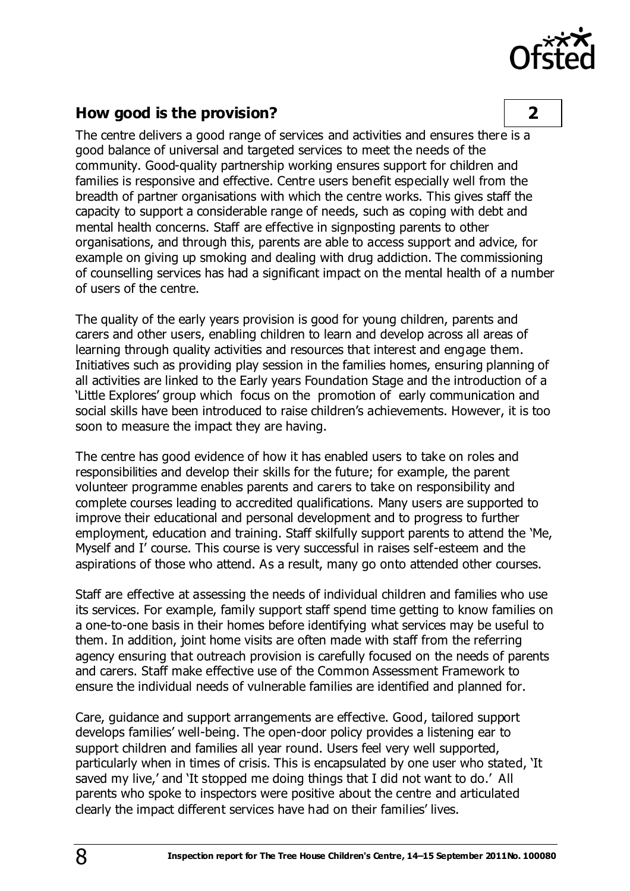

## **How good is the provision? 2**

The centre delivers a good range of services and activities and ensures there is a good balance of universal and targeted services to meet the needs of the community. Good-quality partnership working ensures support for children and families is responsive and effective. Centre users benefit especially well from the breadth of partner organisations with which the centre works. This gives staff the capacity to support a considerable range of needs, such as coping with debt and mental health concerns. Staff are effective in signposting parents to other organisations, and through this, parents are able to access support and advice, for example on giving up smoking and dealing with drug addiction. The commissioning of counselling services has had a significant impact on the mental health of a number of users of the centre.

The quality of the early years provision is good for young children, parents and carers and other users, enabling children to learn and develop across all areas of learning through quality activities and resources that interest and engage them. Initiatives such as providing play session in the families homes, ensuring planning of all activities are linked to the Early years Foundation Stage and the introduction of a 'Little Explores' group which focus on the promotion of early communication and social skills have been introduced to raise children's achievements. However, it is too soon to measure the impact they are having.

The centre has good evidence of how it has enabled users to take on roles and responsibilities and develop their skills for the future; for example, the parent volunteer programme enables parents and carers to take on responsibility and complete courses leading to accredited qualifications. Many users are supported to improve their educational and personal development and to progress to further employment, education and training. Staff skilfully support parents to attend the 'Me, Myself and I' course. This course is very successful in raises self-esteem and the aspirations of those who attend. As a result, many go onto attended other courses.

Staff are effective at assessing the needs of individual children and families who use its services. For example, family support staff spend time getting to know families on a one-to-one basis in their homes before identifying what services may be useful to them. In addition, joint home visits are often made with staff from the referring agency ensuring that outreach provision is carefully focused on the needs of parents and carers. Staff make effective use of the Common Assessment Framework to ensure the individual needs of vulnerable families are identified and planned for.

Care, guidance and support arrangements are effective. Good, tailored support develops families' well-being. The open-door policy provides a listening ear to support children and families all year round. Users feel very well supported, particularly when in times of crisis. This is encapsulated by one user who stated, 'It saved my live,' and 'It stopped me doing things that I did not want to do.' All parents who spoke to inspectors were positive about the centre and articulated clearly the impact different services have had on their families' lives.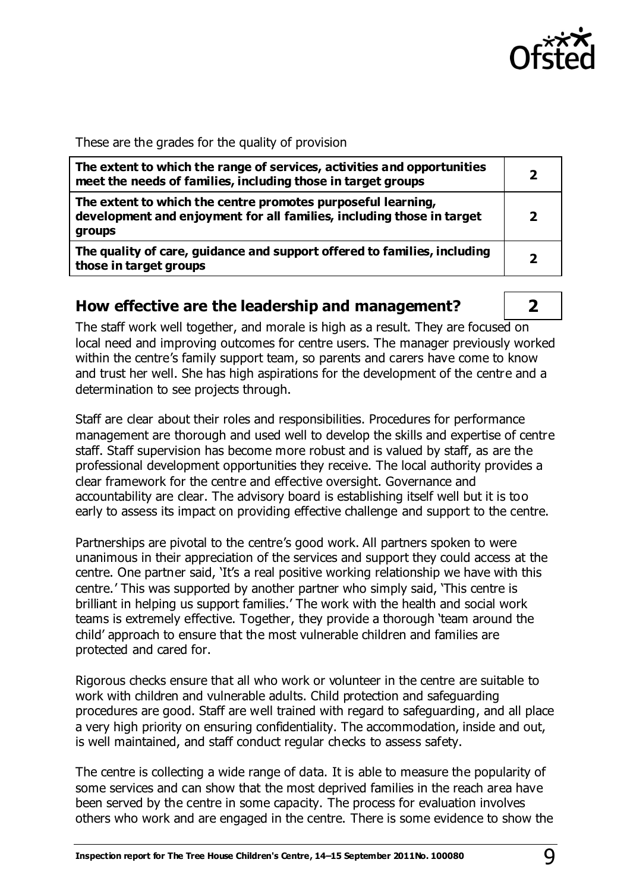

#### These are the grades for the quality of provision

| The extent to which the range of services, activities and opportunities<br>meet the needs of families, including those in target groups         |  |
|-------------------------------------------------------------------------------------------------------------------------------------------------|--|
| The extent to which the centre promotes purposeful learning,<br>development and enjoyment for all families, including those in target<br>groups |  |
| The quality of care, guidance and support offered to families, including<br>those in target groups                                              |  |

#### **How effective are the leadership and management? 2**

The staff work well together, and morale is high as a result. They are focused on local need and improving outcomes for centre users. The manager previously worked within the centre's family support team, so parents and carers have come to know and trust her well. She has high aspirations for the development of the centre and a determination to see projects through.

Staff are clear about their roles and responsibilities. Procedures for performance management are thorough and used well to develop the skills and expertise of centre staff. Staff supervision has become more robust and is valued by staff, as are the professional development opportunities they receive. The local authority provides a clear framework for the centre and effective oversight. Governance and accountability are clear. The advisory board is establishing itself well but it is too early to assess its impact on providing effective challenge and support to the centre.

Partnerships are pivotal to the centre's good work. All partners spoken to were unanimous in their appreciation of the services and support they could access at the centre. One partner said, 'It's a real positive working relationship we have with this centre.' This was supported by another partner who simply said, 'This centre is brilliant in helping us support families.' The work with the health and social work teams is extremely effective. Together, they provide a thorough 'team around the child' approach to ensure that the most vulnerable children and families are protected and cared for.

Rigorous checks ensure that all who work or volunteer in the centre are suitable to work with children and vulnerable adults. Child protection and safeguarding procedures are good. Staff are well trained with regard to safeguarding, and all place a very high priority on ensuring confidentiality. The accommodation, inside and out, is well maintained, and staff conduct regular checks to assess safety.

The centre is collecting a wide range of data. It is able to measure the popularity of some services and can show that the most deprived families in the reach area have been served by the centre in some capacity. The process for evaluation involves others who work and are engaged in the centre. There is some evidence to show the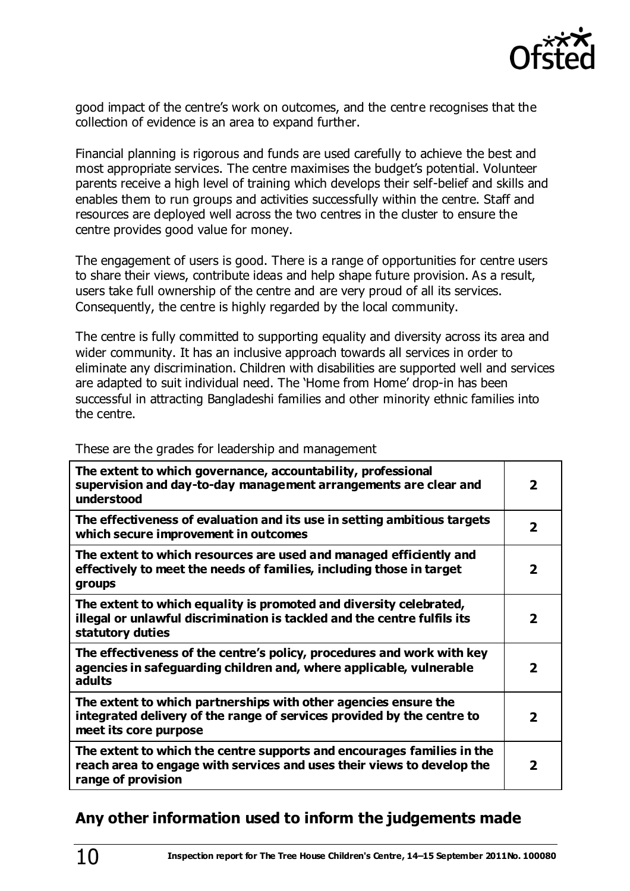

good impact of the centre's work on outcomes, and the centre recognises that the collection of evidence is an area to expand further.

Financial planning is rigorous and funds are used carefully to achieve the best and most appropriate services. The centre maximises the budget's potential. Volunteer parents receive a high level of training which develops their self-belief and skills and enables them to run groups and activities successfully within the centre. Staff and resources are deployed well across the two centres in the cluster to ensure the centre provides good value for money.

The engagement of users is good. There is a range of opportunities for centre users to share their views, contribute ideas and help shape future provision. As a result, users take full ownership of the centre and are very proud of all its services. Consequently, the centre is highly regarded by the local community.

The centre is fully committed to supporting equality and diversity across its area and wider community. It has an inclusive approach towards all services in order to eliminate any discrimination. Children with disabilities are supported well and services are adapted to suit individual need. The 'Home from Home' drop-in has been successful in attracting Bangladeshi families and other minority ethnic families into the centre.

These are the grades for leadership and management

| The extent to which governance, accountability, professional<br>supervision and day-to-day management arrangements are clear and<br>understood                         | $\overline{\mathbf{2}}$  |
|------------------------------------------------------------------------------------------------------------------------------------------------------------------------|--------------------------|
| The effectiveness of evaluation and its use in setting ambitious targets<br>which secure improvement in outcomes                                                       | $\overline{\mathbf{2}}$  |
| The extent to which resources are used and managed efficiently and<br>effectively to meet the needs of families, including those in target<br>groups                   | $\overline{\mathbf{2}}$  |
| The extent to which equality is promoted and diversity celebrated,<br>illegal or unlawful discrimination is tackled and the centre fulfils its<br>statutory duties     | 2                        |
| The effectiveness of the centre's policy, procedures and work with key<br>agencies in safeguarding children and, where applicable, vulnerable<br>adults                | 2                        |
| The extent to which partnerships with other agencies ensure the<br>integrated delivery of the range of services provided by the centre to<br>meet its core purpose     | $\overline{\phantom{a}}$ |
| The extent to which the centre supports and encourages families in the<br>reach area to engage with services and uses their views to develop the<br>range of provision | 2                        |

## **Any other information used to inform the judgements made**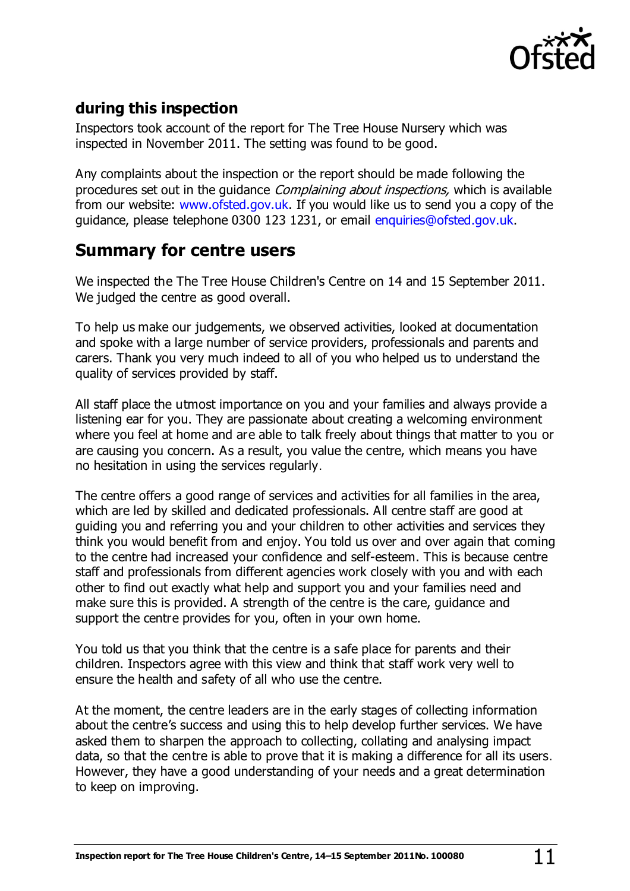

## **during this inspection**

Inspectors took account of the report for The Tree House Nursery which was inspected in November 2011. The setting was found to be good.

Any complaints about the inspection or the report should be made following the procedures set out in the quidance *Complaining about inspections*, which is available from our website: [www.ofsted.gov.uk.](http://www.ofsted.gov.uk/) If you would like us to send you a copy of the guidance, please telephone 0300 123 1231, or emai[l enquiries@ofsted.gov.uk](mailto:enquiries@ofsted.gov.uk).

# **Summary for centre users**

We inspected the The Tree House Children's Centre on 14 and 15 September 2011. We judged the centre as good overall.

To help us make our judgements, we observed activities, looked at documentation and spoke with a large number of service providers, professionals and parents and carers. Thank you very much indeed to all of you who helped us to understand the quality of services provided by staff.

All staff place the utmost importance on you and your families and always provide a listening ear for you. They are passionate about creating a welcoming environment where you feel at home and are able to talk freely about things that matter to you or are causing you concern. As a result, you value the centre, which means you have no hesitation in using the services regularly.

The centre offers a good range of services and activities for all families in the area, which are led by skilled and dedicated professionals. All centre staff are good at guiding you and referring you and your children to other activities and services they think you would benefit from and enjoy. You told us over and over again that coming to the centre had increased your confidence and self-esteem. This is because centre staff and professionals from different agencies work closely with you and with each other to find out exactly what help and support you and your families need and make sure this is provided. A strength of the centre is the care, guidance and support the centre provides for you, often in your own home.

You told us that you think that the centre is a safe place for parents and their children. Inspectors agree with this view and think that staff work very well to ensure the health and safety of all who use the centre.

At the moment, the centre leaders are in the early stages of collecting information about the centre's success and using this to help develop further services. We have asked them to sharpen the approach to collecting, collating and analysing impact data, so that the centre is able to prove that it is making a difference for all its users. However, they have a good understanding of your needs and a great determination to keep on improving.